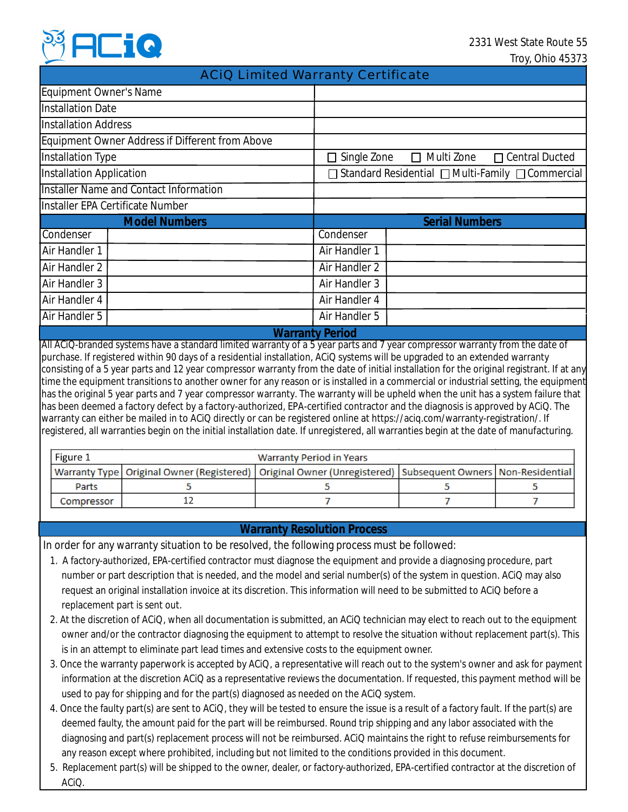

## ACiQ Limited Warranty Certificate

| Equipment Owner's Name                          |  |                                                        |  |  |  |  |
|-------------------------------------------------|--|--------------------------------------------------------|--|--|--|--|
| <b>Installation Date</b>                        |  |                                                        |  |  |  |  |
| <b>Installation Address</b>                     |  |                                                        |  |  |  |  |
| Equipment Owner Address if Different from Above |  |                                                        |  |  |  |  |
| Installation Type                               |  | □ Multi Zone<br>□ Central Ducted<br>$\Box$ Single Zone |  |  |  |  |
| Installation Application                        |  | □ Standard Residential □ Multi-Family □ Commercial     |  |  |  |  |
| <b>Installer Name and Contact Information</b>   |  |                                                        |  |  |  |  |
| Installer EPA Certificate Number                |  |                                                        |  |  |  |  |
| <b>Model Numbers</b>                            |  | <b>Serial Numbers</b>                                  |  |  |  |  |
| Condenser                                       |  | Condenser                                              |  |  |  |  |
| Air Handler 1                                   |  | Air Handler 1                                          |  |  |  |  |
| Air Handler 2                                   |  | Air Handler 2                                          |  |  |  |  |
| Air Handler 3                                   |  | Air Handler 3                                          |  |  |  |  |
| Air Handler 4                                   |  | Air Handler 4                                          |  |  |  |  |
| Air Handler 5                                   |  | Air Handler 5                                          |  |  |  |  |
| <b>CONTRACTOR</b><br>X, X, Y                    |  |                                                        |  |  |  |  |

**Warranty Period**

All ACiQ-branded systems have a standard limited warranty of a 5 year parts and 7 year compressor warranty from the date of purchase. If registered within 90 days of a residential installation, ACiQ systems will be upgraded to an extended warranty consisting of a 5 year parts and 12 year compressor warranty from the date of initial installation for the original registrant. If at any time the equipment transitions to another owner for any reason or is installed in a commercial or industrial setting, the equipment has the original 5 year parts and 7 year compressor warranty. The warranty will be upheld when the unit has a system failure that has been deemed a factory defect by a factory-authorized, EPA-certified contractor and the diagnosis is approved by ACiQ. The warranty can either be mailed in to ACiQ directly or can be registered online at https://aciq.com/warranty-registration/. If registered, all warranties begin on the initial installation date. If unregistered, all warranties begin at the date of manufacturing.

| Figure 1<br>Warranty Period in Years |  |                                                                                                                   |  |  |  |  |
|--------------------------------------|--|-------------------------------------------------------------------------------------------------------------------|--|--|--|--|
|                                      |  | Warranty Type   Original Owner (Registered)   Original Owner (Unregistered)   Subsequent Owners   Non-Residential |  |  |  |  |
| Parts                                |  |                                                                                                                   |  |  |  |  |
| Compressor                           |  |                                                                                                                   |  |  |  |  |

### **Warranty Resolution Process**

In order for any warranty situation to be resolved, the following process must be followed:

- 1. A factory-authorized, EPA-certified contractor must diagnose the equipment and provide a diagnosing procedure, part number or part description that is needed, and the model and serial number(s) of the system in question. ACiQ may also request an original installation invoice at its discretion. This information will need to be submitted to ACiQ before a replacement part is sent out.
- 2. At the discretion of ACiQ, when all documentation is submitted, an ACiQ technician may elect to reach out to the equipment owner and/or the contractor diagnosing the equipment to attempt to resolve the situation without replacement part(s). This is in an attempt to eliminate part lead times and extensive costs to the equipment owner.
- 3. Once the warranty paperwork is accepted by ACiQ, a representative will reach out to the system's owner and ask for payment information at the discretion ACiQ as a representative reviews the documentation. If requested, this payment method will be used to pay for shipping and for the part(s) diagnosed as needed on the ACiQ system.
- 4. Once the faulty part(s) are sent to ACiQ, they will be tested to ensure the issue is a result of a factory fault. If the part(s) are deemed faulty, the amount paid for the part will be reimbursed. Round trip shipping and any labor associated with the diagnosing and part(s) replacement process will not be reimbursed. ACiQ maintains the right to refuse reimbursements for any reason except where prohibited, including but not limited to the conditions provided in this document.
- 5. Replacement part(s) will be shipped to the owner, dealer, or factory-authorized, EPA-certified contractor at the discretion of ACiQ.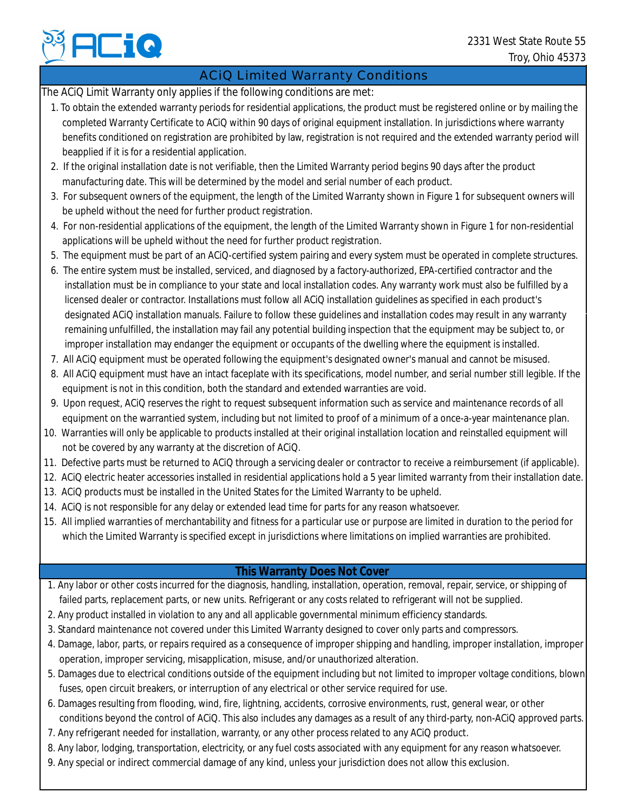# ACiQ Limited Warranty Conditions

The ACiQ Limit Warranty only applies if the following conditions are met:

- 1. To obtain the extended warranty periods for residential applications, the product must be registered online or by mailing the completed Warranty Certificate to ACiQ within 90 days of original equipment installation. In jurisdictions where warranty benefits conditioned on registration are prohibited by law, registration is not required and the extended warranty period will beapplied if it is for a residential application.
- 2. If the original installation date is not verifiable, then the Limited Warranty period begins 90 days after the product manufacturing date. This will be determined by the model and serial number of each product.
- 3. For subsequent owners of the equipment, the length of the Limited Warranty shown in Figure 1 for subsequent owners will be upheld without the need for further product registration.
- 4. For non-residential applications of the equipment, the length of the Limited Warranty shown in Figure 1 for non-residential applications will be upheld without the need for further product registration.
- 5. The equipment must be part of an ACiQ-certified system pairing and every system must be operated in complete structures.
- 6. The entire system must be installed, serviced, and diagnosed by a factory-authorized, EPA-certified contractor and the installation must be in compliance to your state and local installation codes. Any warranty work must also be fulfilled by a licensed dealer or contractor. Installations must follow all ACiQ installation guidelines as specified in each product's designated ACiQ installation manuals. Failure to follow these guidelines and installation codes may result in any warranty remaining unfulfilled, the installation may fail any potential building inspection that the equipment may be subject to, or improper installation may endanger the equipment or occupants of the dwelling where the equipment is installed. **Phone any special or indirect commercial or indirect commercial or indirect commercial or individual or individual or individual or individual or individual or individual or individual or individual or individual or indi** 
	- 7. All ACiQ equipment must be operated following the equipment's designated owner's manual and cannot be misused.
	- 8. All ACiQ equipment must have an intact faceplate with its specifications, model number, and serial number still legible. If the equipment is not in this condition, both the standard and extended warranties are void.
	- 9. Upon request, ACiQ reserves the right to request subsequent information such as service and maintenance records of all equipment on the warrantied system, including but not limited to proof of a minimum of a once-a-year maintenance plan.
- 10. Warranties will only be applicable to products installed at their original installation location and reinstalled equipment will not be covered by any warranty at the discretion of ACiQ.
- 11. Defective parts must be returned to ACiQ through a servicing dealer or contractor to receive a reimbursement (if applicable).
- 12. ACiQ electric heater accessories installed in residential applications hold a 5 year limited warranty from their installation date.
- 13. ACiQ products must be installed in the United States for the Limited Warranty to be upheld.
- 14. ACiQ is not responsible for any delay or extended lead time for parts for any reason whatsoever.
- 15. All implied warranties of merchantability and fitness for a particular use or purpose are limited in duration to the period for which the Limited Warranty is specified except in jurisdictions where limitations on implied warranties are prohibited.

# **This Warranty Does Not Cover**

- 1. Any labor or other costs incurred for the diagnosis, handling, installation, operation, removal, repair, service, or shipping of failed parts, replacement parts, or new units. Refrigerant or any costs related to refrigerant will not be supplied.
- 2. Any product installed in violation to any and all applicable governmental minimum efficiency standards.
- 3. Standard maintenance not covered under this Limited Warranty designed to cover only parts and compressors.
- 4. Damage, labor, parts, or repairs required as a consequence of improper shipping and handling, improper installation, improper operation, improper servicing, misapplication, misuse, and/or unauthorized alteration.
- 5. Damages due to electrical conditions outside of the equipment including but not limited to improper voltage conditions, blown fuses, open circuit breakers, or interruption of any electrical or other service required for use.
- 6. Damages resulting from flooding, wind, fire, lightning, accidents, corrosive environments, rust, general wear, or other conditions beyond the control of ACiQ. This also includes any damages as a result of any third-party, non-ACiQ approved parts.
- 7. Any refrigerant needed for installation, warranty, or any other process related to any ACiQ product.
- 8. Any labor, lodging, transportation, electricity, or any fuel costs associated with any equipment for any reason whatsoever.
-